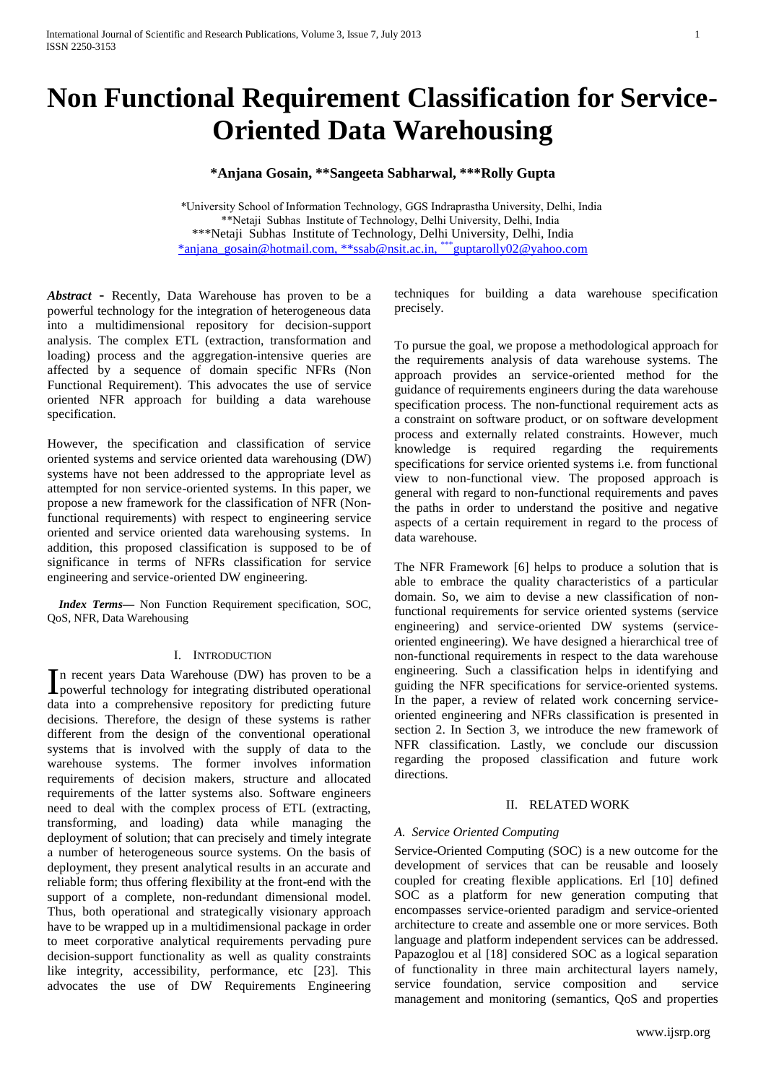# **Non Functional Requirement Classification for Service-Oriented Data Warehousing**

# **\*Anjana Gosain, \*\*Sangeeta Sabharwal, \*\*\*Rolly Gupta**

\*University School of Information Technology, GGS Indraprastha University, Delhi, India \*\*Netaji Subhas Institute of Technology, Delhi University, Delhi, India \*\*\*Netaji Subhas Institute of Technology, Delhi University, Delhi, India [\\*anjana\\_gosain@hotmail.com, \\*\\*ssab@nsit.ac.in,](mailto:*anjana_gosain@hotmail.com,%20**ssab@nsit.ac.in,%20***guptarolly02@yahoo.com) \*\*\*guptarolly02@yahoo.com

*Abstract* - Recently, Data Warehouse has proven to be a powerful technology for the integration of heterogeneous data into a multidimensional repository for decision-support analysis. The complex ETL (extraction, transformation and loading) process and the aggregation-intensive queries are affected by a sequence of domain specific NFRs (Non Functional Requirement). This advocates the use of service oriented NFR approach for building a data warehouse specification.

However, the specification and classification of service oriented systems and service oriented data warehousing (DW) systems have not been addressed to the appropriate level as attempted for non service-oriented systems. In this paper, we propose a new framework for the classification of NFR (Nonfunctional requirements) with respect to engineering service oriented and service oriented data warehousing systems. In addition, this proposed classification is supposed to be of significance in terms of NFRs classification for service engineering and service-oriented DW engineering.

*Index Terms***—** Non Function Requirement specification, SOC, QoS, NFR, Data Warehousing

# I. INTRODUCTION

n recent years Data Warehouse (DW) has proven to be a In recent years Data Warehouse (DW) has proven to be a powerful technology for integrating distributed operational data into a comprehensive repository for predicting future decisions. Therefore, the design of these systems is rather different from the design of the conventional operational systems that is involved with the supply of data to the warehouse systems. The former involves information requirements of decision makers, structure and allocated requirements of the latter systems also. Software engineers need to deal with the complex process of ETL (extracting, transforming, and loading) data while managing the deployment of solution; that can precisely and timely integrate a number of heterogeneous source systems. On the basis of deployment, they present analytical results in an accurate and reliable form; thus offering flexibility at the front-end with the support of a complete, non-redundant dimensional model. Thus, both operational and strategically visionary approach have to be wrapped up in a multidimensional package in order to meet corporative analytical requirements pervading pure decision-support functionality as well as quality constraints like integrity, accessibility, performance, etc [23]. This advocates the use of DW Requirements Engineering

techniques for building a data warehouse specification precisely.

To pursue the goal, we propose a methodological approach for the requirements analysis of data warehouse systems. The approach provides an service-oriented method for the guidance of requirements engineers during the data warehouse specification process. The non-functional requirement acts as a constraint on software product, or on software development process and externally related constraints. However, much knowledge is required regarding the requirements specifications for service oriented systems i.e. from functional view to non-functional view. The proposed approach is general with regard to non-functional requirements and paves the paths in order to understand the positive and negative aspects of a certain requirement in regard to the process of data warehouse.

The NFR Framework [6] helps to produce a solution that is able to embrace the quality characteristics of a particular domain. So, we aim to devise a new classification of nonfunctional requirements for service oriented systems (service engineering) and service-oriented DW systems (serviceoriented engineering). We have designed a hierarchical tree of non-functional requirements in respect to the data warehouse engineering. Such a classification helps in identifying and guiding the NFR specifications for service-oriented systems. In the paper, a review of related work concerning serviceoriented engineering and NFRs classification is presented in section 2. In Section 3, we introduce the new framework of NFR classification. Lastly, we conclude our discussion regarding the proposed classification and future work directions.

## II. RELATED WORK

## *A. Service Oriented Computing*

Service-Oriented Computing (SOC) is a new outcome for the development of services that can be reusable and loosely coupled for creating flexible applications. Erl [10] defined SOC as a platform for new generation computing that encompasses service-oriented paradigm and service-oriented architecture to create and assemble one or more services. Both language and platform independent services can be addressed. Papazoglou et al [18] considered SOC as a logical separation of functionality in three main architectural layers namely, service foundation, service composition and service management and monitoring (semantics, QoS and properties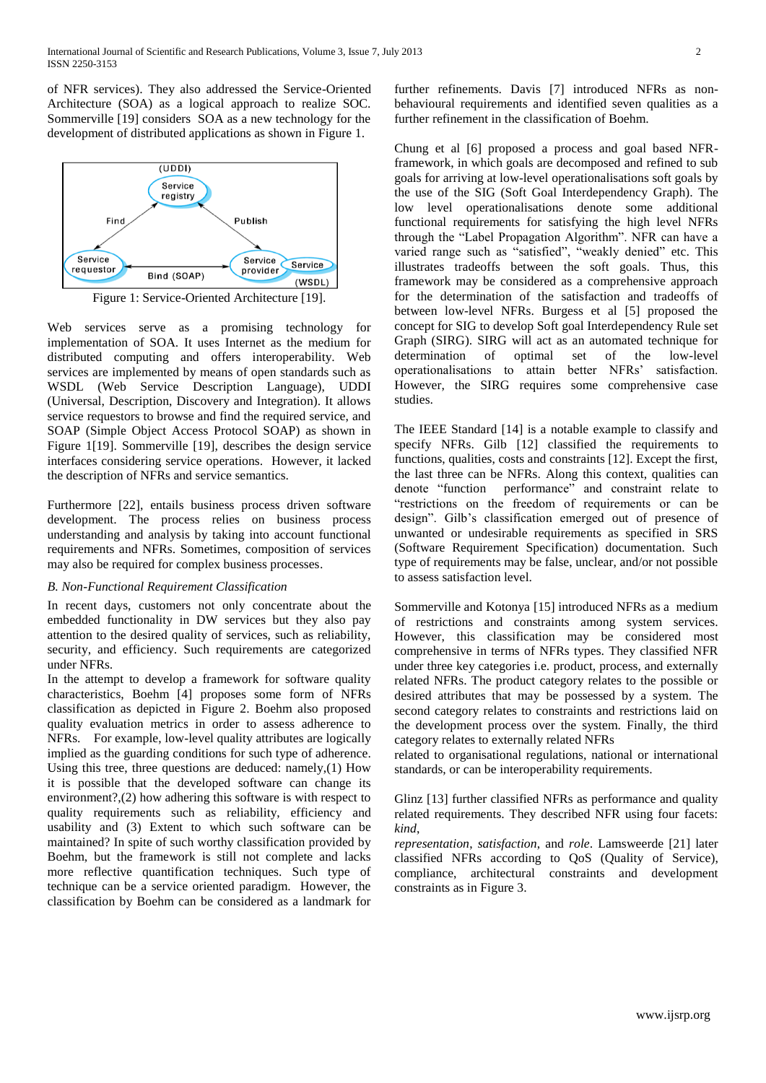of NFR services). They also addressed the Service-Oriented Architecture (SOA) as a logical approach to realize SOC. Sommerville [19] considers SOA as a new technology for the development of distributed applications as shown in Figure 1.



Figure 1: Service-Oriented Architecture [19].

Web services serve as a promising technology for implementation of SOA. It uses Internet as the medium for distributed computing and offers interoperability. Web services are implemented by means of open standards such as WSDL (Web Service Description Language), UDDI (Universal, Description, Discovery and Integration). It allows service requestors to browse and find the required service, and SOAP (Simple Object Access Protocol SOAP) as shown in Figure 1[19]. Sommerville [19], describes the design service interfaces considering service operations. However, it lacked the description of NFRs and service semantics.

Furthermore [22], entails business process driven software development. The process relies on business process understanding and analysis by taking into account functional requirements and NFRs. Sometimes, composition of services may also be required for complex business processes.

## *B. Non-Functional Requirement Classification*

In recent days, customers not only concentrate about the embedded functionality in DW services but they also pay attention to the desired quality of services, such as reliability, security, and efficiency. Such requirements are categorized under NFRs.

In the attempt to develop a framework for software quality characteristics, Boehm [4] proposes some form of NFRs classification as depicted in Figure 2. Boehm also proposed quality evaluation metrics in order to assess adherence to NFRs. For example, low-level quality attributes are logically implied as the guarding conditions for such type of adherence. Using this tree, three questions are deduced: namely,(1) How it is possible that the developed software can change its environment?,(2) how adhering this software is with respect to quality requirements such as reliability, efficiency and usability and (3) Extent to which such software can be maintained? In spite of such worthy classification provided by Boehm, but the framework is still not complete and lacks more reflective quantification techniques. Such type of technique can be a service oriented paradigm. However, the classification by Boehm can be considered as a landmark for

further refinements. Davis [7] introduced NFRs as nonbehavioural requirements and identified seven qualities as a further refinement in the classification of Boehm.

Chung et al [6] proposed a process and goal based NFRframework, in which goals are decomposed and refined to sub goals for arriving at low-level operationalisations soft goals by the use of the SIG (Soft Goal Interdependency Graph). The low level operationalisations denote some additional functional requirements for satisfying the high level NFRs through the "Label Propagation Algorithm". NFR can have a varied range such as "satisfied", "weakly denied" etc. This illustrates tradeoffs between the soft goals. Thus, this framework may be considered as a comprehensive approach for the determination of the satisfaction and tradeoffs of between low-level NFRs. Burgess et al [5] proposed the concept for SIG to develop Soft goal Interdependency Rule set Graph (SIRG). SIRG will act as an automated technique for determination of optimal set of the low-level operationalisations to attain better NFRs' satisfaction. However, the SIRG requires some comprehensive case studies.

The IEEE Standard [14] is a notable example to classify and specify NFRs. Gilb [12] classified the requirements to functions, qualities, costs and constraints [12]. Except the first, the last three can be NFRs. Along this context, qualities can denote "function performance" and constraint relate to "restrictions on the freedom of requirements or can be design". Gilb's classification emerged out of presence of unwanted or undesirable requirements as specified in SRS (Software Requirement Specification) documentation. Such type of requirements may be false, unclear, and/or not possible to assess satisfaction level.

Sommerville and Kotonya [15] introduced NFRs as a medium of restrictions and constraints among system services. However, this classification may be considered most comprehensive in terms of NFRs types. They classified NFR under three key categories i.e. product, process, and externally related NFRs. The product category relates to the possible or desired attributes that may be possessed by a system. The second category relates to constraints and restrictions laid on the development process over the system. Finally, the third category relates to externally related NFRs

related to organisational regulations, national or international standards, or can be interoperability requirements.

Glinz [13] further classified NFRs as performance and quality related requirements. They described NFR using four facets: *kind*,

*representation*, *satisfaction*, and *role*. Lamsweerde [21] later classified NFRs according to QoS (Quality of Service), compliance, architectural constraints and development constraints as in Figure 3.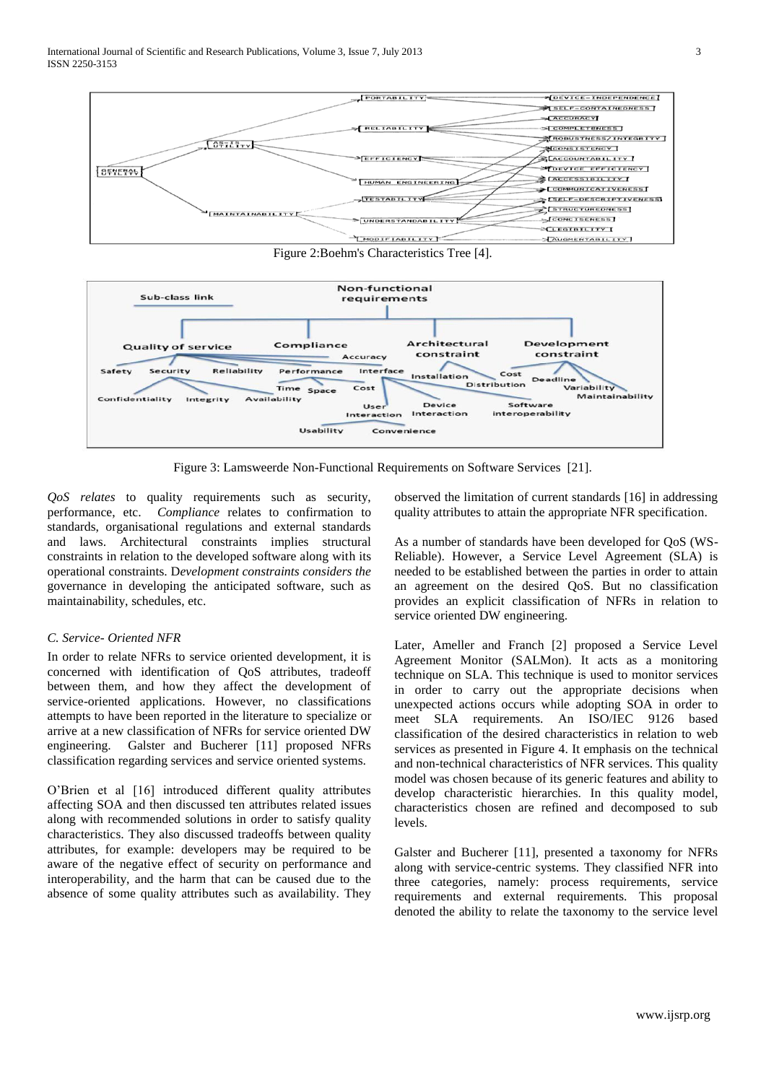

Figure 2:Boehm's Characteristics Tree [4].



Figure 3: Lamsweerde Non-Functional Requirements on Software Services [21].

*QoS relates* to quality requirements such as security, performance, etc. *Compliance* relates to confirmation to standards, organisational regulations and external standards and laws. Architectural constraints implies structural constraints in relation to the developed software along with its operational constraints. D*evelopment constraints considers the* governance in developing the anticipated software, such as maintainability, schedules, etc.

# *C. Service- Oriented NFR*

In order to relate NFRs to service oriented development, it is concerned with identification of QoS attributes, tradeoff between them, and how they affect the development of service-oriented applications. However, no classifications attempts to have been reported in the literature to specialize or arrive at a new classification of NFRs for service oriented DW engineering. Galster and Bucherer [11] proposed NFRs classification regarding services and service oriented systems.

O'Brien et al [16] introduced different quality attributes affecting SOA and then discussed ten attributes related issues along with recommended solutions in order to satisfy quality characteristics. They also discussed tradeoffs between quality attributes, for example: developers may be required to be aware of the negative effect of security on performance and interoperability, and the harm that can be caused due to the absence of some quality attributes such as availability. They observed the limitation of current standards [16] in addressing quality attributes to attain the appropriate NFR specification.

As a number of standards have been developed for QoS (WS-Reliable). However, a Service Level Agreement (SLA) is needed to be established between the parties in order to attain an agreement on the desired QoS. But no classification provides an explicit classification of NFRs in relation to service oriented DW engineering.

Later, Ameller and Franch [2] proposed a Service Level Agreement Monitor (SALMon). It acts as a monitoring technique on SLA. This technique is used to monitor services in order to carry out the appropriate decisions when unexpected actions occurs while adopting SOA in order to meet SLA requirements. An ISO/IEC 9126 based classification of the desired characteristics in relation to web services as presented in Figure 4. It emphasis on the technical and non-technical characteristics of NFR services. This quality model was chosen because of its generic features and ability to develop characteristic hierarchies. In this quality model, characteristics chosen are refined and decomposed to sub levels.

Galster and Bucherer [11], presented a taxonomy for NFRs along with service-centric systems. They classified NFR into three categories, namely: process requirements, service requirements and external requirements. This proposal denoted the ability to relate the taxonomy to the service level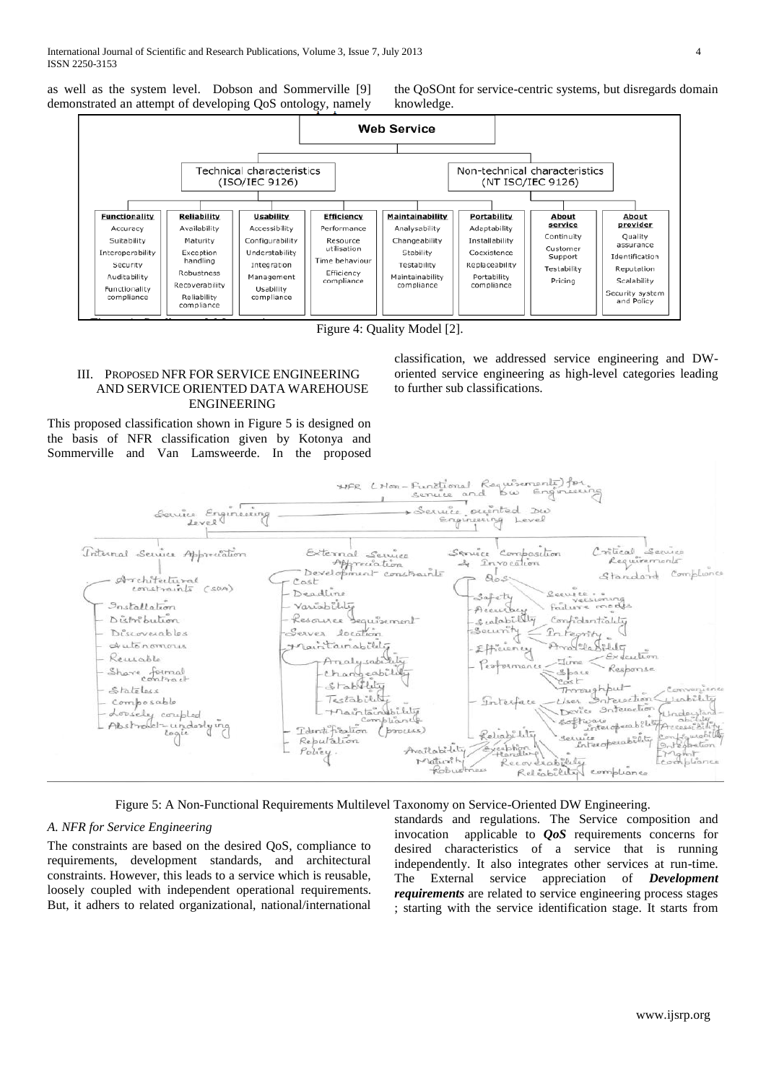as well as the system level. Dobson and Sommerville [9] demonstrated an attempt of developing QoS ontology, namely the QoSOnt for service-centric systems, but disregards domain knowledge.

classification, we addressed service engineering and DWoriented service engineering as high-level categories leading

to further sub classifications.



Figure 4: Quality Model [2].

# III. PROPOSED NFR FOR SERVICE ENGINEERING AND SERVICE ORIENTED DATA WAREHOUSE ENGINEERING

This proposed classification shown in Figure 5 is designed on the basis of NFR classification given by Kotonya and Sommerville and Van Lamsweerde. In the proposed

WFR (Non-Functional Requisiments) for Service occinted Dw Service Engineering Service Composition Critical Service Internal Service Appreciation External Service Appreciation 4 Invocation Standard Compliance  $\sim 80s$ Architectural<br>constraints (son) - Cost - Deadline Safety<br>- Accuracy<br>- Scalabilly<br>- Efficiency Secure...<br>Veisioning<br>Failure mods - Variability Installation - Resource Confidentiality Dietribution Sequisement Discoverables Server tocation Integrity Efficiency Main tainability dutonomous AnalelaSility Analysability Expection Rousable  $\lim_{\leftarrow}$ Performance Share formal - Response Space changeability Stability cose<br>Throughput<br>Iser Interections Stateless - Testability Lisability Interface - Composable  $H =$ Device Interaction (Understa - Composition<br>- Aostely coupled<br>- Abstrowl - underly - Maintainsbilly software beech delight  $Combining$ Identification (procese) Reliability service desability configurabil Reputation Reputal<br>Policy. Availability / Exception niegiaus<br>Mant<br>Complian tandurel Maturit Robustness



## *A. NFR for Service Engineering*

The constraints are based on the desired QoS, compliance to requirements, development standards, and architectural constraints. However, this leads to a service which is reusable, loosely coupled with independent operational requirements. But, it adhers to related organizational, national/international

standards and regulations. The Service composition and invocation applicable to *QoS* requirements concerns for desired characteristics of a service that is running independently. It also integrates other services at run-time. The External service appreciation of *Development requirements* are related to service engineering process stages ; starting with the service identification stage. It starts from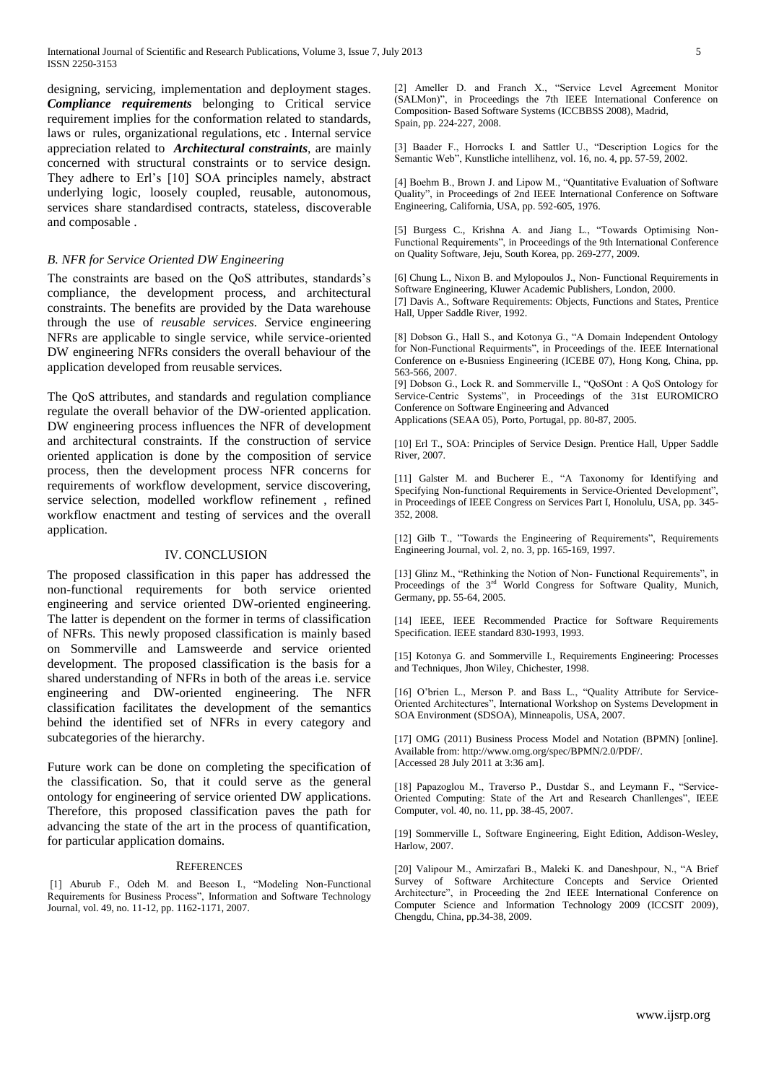International Journal of Scientific and Research Publications, Volume 3, Issue 7, July 2013 5 ISSN 2250-3153

designing, servicing, implementation and deployment stages. *Compliance requirements* belonging to Critical service requirement implies for the conformation related to standards, laws or rules, organizational regulations, etc . Internal service appreciation related to *Architectural constraints*, are mainly concerned with structural constraints or to service design. They adhere to Erl's [10] SOA principles namely, abstract underlying logic, loosely coupled, reusable, autonomous, services share standardised contracts, stateless, discoverable and composable .

## *B. NFR for Service Oriented DW Engineering*

The constraints are based on the QoS attributes, standards's compliance, the development process, and architectural constraints. The benefits are provided by the Data warehouse through the use of *reusable services. S*ervice engineering NFRs are applicable to single service, while service-oriented DW engineering NFRs considers the overall behaviour of the application developed from reusable services.

The QoS attributes, and standards and regulation compliance regulate the overall behavior of the DW-oriented application. DW engineering process influences the NFR of development and architectural constraints. If the construction of service oriented application is done by the composition of service process, then the development process NFR concerns for requirements of workflow development, service discovering, service selection, modelled workflow refinement , refined workflow enactment and testing of services and the overall application.

#### IV. CONCLUSION

The proposed classification in this paper has addressed the non-functional requirements for both service oriented engineering and service oriented DW-oriented engineering. The latter is dependent on the former in terms of classification of NFRs. This newly proposed classification is mainly based on Sommerville and Lamsweerde and service oriented development. The proposed classification is the basis for a shared understanding of NFRs in both of the areas i.e. service engineering and DW-oriented engineering. The NFR classification facilitates the development of the semantics behind the identified set of NFRs in every category and subcategories of the hierarchy.

Future work can be done on completing the specification of the classification. So, that it could serve as the general ontology for engineering of service oriented DW applications. Therefore, this proposed classification paves the path for advancing the state of the art in the process of quantification, for particular application domains.

#### **REFERENCES**

[1] Aburub F., Odeh M. and Beeson I., "Modeling Non-Functional Requirements for Business Process", Information and Software Technology Journal, vol. 49, no. 11-12, pp. 1162-1171, 2007.

[2] Ameller D. and Franch X., "Service Level Agreement Monitor (SALMon)", in Proceedings the 7th IEEE International Conference on Composition- Based Software Systems (ICCBBSS 2008), Madrid, Spain, pp. 224-227, 2008.

[3] Baader F., Horrocks I. and Sattler U., "Description Logics for the Semantic Web", Kunstliche intellihenz, vol. 16, no. 4, pp. 57-59, 2002.

[4] Boehm B., Brown J. and Lipow M., "Quantitative Evaluation of Software Quality", in Proceedings of 2nd IEEE International Conference on Software Engineering, California, USA, pp. 592-605, 1976.

[5] Burgess C., Krishna A. and Jiang L., "Towards Optimising Non-Functional Requirements", in Proceedings of the 9th International Conference on Quality Software, Jeju, South Korea, pp. 269-277, 2009.

[6] Chung L., Nixon B. and Mylopoulos J., Non- Functional Requirements in Software Engineering, Kluwer Academic Publishers, London, 2000. [7] Davis A., Software Requirements: Objects, Functions and States, Prentice Hall, Upper Saddle River, 1992.

[8] Dobson G., Hall S., and Kotonya G., "A Domain Independent Ontology for Non-Functional Requirments", in Proceedings of the. IEEE International Conference on e-Busniess Engineering (ICEBE 07), Hong Kong, China, pp. 563-566, 2007.

[9] Dobson G., Lock R. and Sommerville I., "QoSOnt : A QoS Ontology for Service-Centric Systems", in Proceedings of the 31st EUROMICRO Conference on Software Engineering and Advanced Applications (SEAA 05), Porto, Portugal, pp. 80-87, 2005.

[10] Erl T., SOA: Principles of Service Design. Prentice Hall, Upper Saddle River, 2007.

[11] Galster M. and Bucherer E., "A Taxonomy for Identifying and Specifying Non-functional Requirements in Service-Oriented Development", in Proceedings of IEEE Congress on Services Part I, Honolulu, USA, pp. 345- 352, 2008.

[12] Gilb T., "Towards the Engineering of Requirements", Requirements Engineering Journal, vol. 2, no. 3, pp. 165-169, 1997.

[13] Glinz M., "Rethinking the Notion of Non- Functional Requirements", in Proceedings of the 3<sup>rd</sup> World Congress for Software Quality, Munich, Germany, pp. 55-64, 2005.

[14] IEEE, IEEE Recommended Practice for Software Requirements Specification. IEEE standard 830-1993, 1993.

[15] Kotonya G. and Sommerville I., Requirements Engineering: Processes and Techniques, Jhon Wiley, Chichester, 1998.

[16] O'brien L., Merson P. and Bass L., "Quality Attribute for Service-Oriented Architectures", International Workshop on Systems Development in SOA Environment (SDSOA), Minneapolis, USA, 2007.

[17] OMG (2011) Business Process Model and Notation (BPMN) [online]. Available from: http://www.omg.org/spec/BPMN/2.0/PDF/. [Accessed 28 July 2011 at 3:36 am].

[18] Papazoglou M., Traverso P., Dustdar S., and Leymann F., "Service-Oriented Computing: State of the Art and Research Chanllenges", IEEE Computer, vol. 40, no. 11, pp. 38-45, 2007.

[19] Sommerville I., Software Engineering, Eight Edition, Addison-Wesley, Harlow, 2007.

[20] Valipour M., Amirzafari B., Maleki K. and Daneshpour, N., "A Brief Survey of Software Architecture Concepts and Service Oriented Architecture", in Proceeding the 2nd IEEE International Conference on Computer Science and Information Technology 2009 (ICCSIT 2009), Chengdu, China, pp.34-38, 2009.